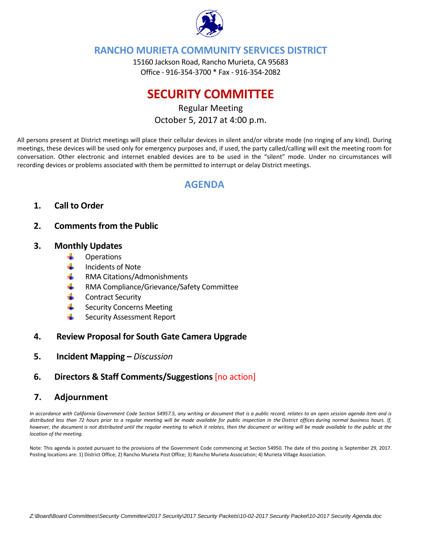

## **RANCHO MURIETA COMMUNITY SERVICES DISTRICT**

15160 Jackson Road, Rancho Murieta, CA 95683 Office ‐ 916‐354‐3700 \* Fax ‐ 916‐354‐2082

# **SECURITY COMMITTEE**

## Regular Meeting October 5, 2017 at 4:00 p.m.

All persons present at District meetings will place their cellular devices in silent and/or vibrate mode (no ringing of any kind). During meetings, these devices will be used only for emergency purposes and, if used, the party called/calling will exit the meeting room for conversation. Other electronic and internet enabled devices are to be used in the "silent" mode. Under no circumstances will recording devices or problems associated with them be permitted to interrupt or delay District meetings.

## **AGENDA**

## **1. Call to Order**

### **2. Comments from the Public**

#### **3. Monthly Updates**

- ÷ **Operations**
- de la Incidents of Note
- a ba RMA Citations/Admonishments
- ÷. RMA Compliance/Grievance/Safety Committee
- ۰. Contract Security
- ÷ Security Concerns Meeting
- 4 Security Assessment Report

#### **4. Review Proposal for South Gate Camera Upgrade**

- **5. Incident Mapping –** *Discussion*
- **6. Directors & Staff Comments/Suggestions** [no action]

#### **7. Adjournment**

In accordance with California Government Code Section 54957.5, any writing or document that is a public record, relates to an open session agenda item and is distributed less than 72 hours prior to a regular meeting will be made available for public inspection in the District offices during normal business hours. If, however, the document is not distributed until the regular meeting to which it relates, then the document or writing will be made available to the public at the *location of the meeting.* 

Note: This agenda is posted pursuant to the provisions of the Government Code commencing at Section 54950. The date of this posting is September 29, 2017. Posting locations are: 1) District Office; 2) Rancho Murieta Post Office; 3) Rancho Murieta Association; 4) Murieta Village Association.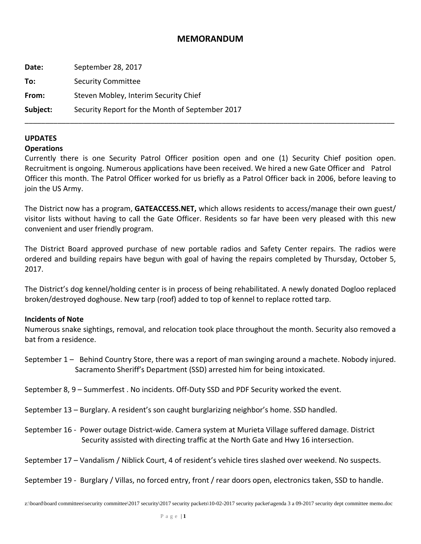#### **MEMORANDUM**

| Date:    | September 28, 2017                              |  |
|----------|-------------------------------------------------|--|
| To:      | <b>Security Committee</b>                       |  |
| From:    | Steven Mobley, Interim Security Chief           |  |
| Subject: | Security Report for the Month of September 2017 |  |
|          |                                                 |  |

#### **UPDATES**

#### **Operations**

Currently there is one Security Patrol Officer position open and one (1) Security Chief position open. Recruitment is ongoing. Numerous applications have been received. We hired a new Gate Officer and Patrol Officer this month. The Patrol Officer worked for us briefly as a Patrol Officer back in 2006, before leaving to join the US Army.

The District now has a program, **GATEACCESS.NET,** which allows residents to access/manage their own guest/ visitor lists without having to call the Gate Officer. Residents so far have been very pleased with this new convenient and user friendly program.

The District Board approved purchase of new portable radios and Safety Center repairs. The radios were ordered and building repairs have begun with goal of having the repairs completed by Thursday, October 5, 2017.

The District's dog kennel/holding center is in process of being rehabilitated. A newly donated Dogloo replaced broken/destroyed doghouse. New tarp (roof) added to top of kennel to replace rotted tarp.

#### **Incidents of Note**

Numerous snake sightings, removal, and relocation took place throughout the month. Security also removed a bat from a residence.

- September 1 Behind Country Store, there was a report of man swinging around a machete. Nobody injured. Sacramento Sheriff's Department (SSD) arrested him for being intoxicated.
- September 8, 9 Summerfest . No incidents. Off-Duty SSD and PDF Security worked the event.
- September 13 Burglary. A resident's son caught burglarizing neighbor's home. SSD handled.
- September 16 ‐ Power outage District‐wide. Camera system at Murieta Village suffered damage. District Security assisted with directing traffic at the North Gate and Hwy 16 intersection.
- September 17 Vandalism / Niblick Court, 4 of resident's vehicle tires slashed over weekend. No suspects.

September 19 ‐ Burglary / Villas, no forced entry, front / rear doors open, electronics taken, SSD to handle.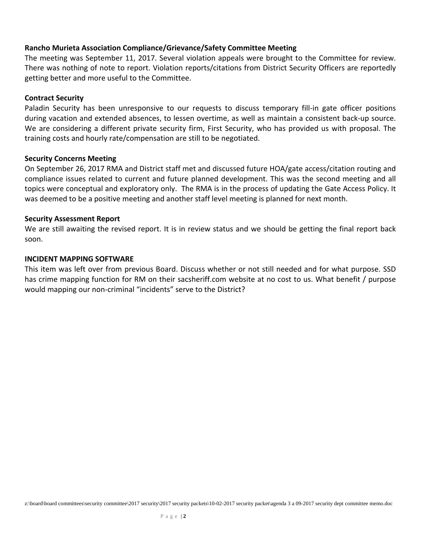#### **Rancho Murieta Association Compliance/Grievance/Safety Committee Meeting**

The meeting was September 11, 2017. Several violation appeals were brought to the Committee for review. There was nothing of note to report. Violation reports/citations from District Security Officers are reportedly getting better and more useful to the Committee.

#### **Contract Security**

Paladin Security has been unresponsive to our requests to discuss temporary fill-in gate officer positions during vacation and extended absences, to lessen overtime, as well as maintain a consistent back‐up source. We are considering a different private security firm, First Security, who has provided us with proposal. The training costs and hourly rate/compensation are still to be negotiated.

#### **Security Concerns Meeting**

On September 26, 2017 RMA and District staff met and discussed future HOA/gate access/citation routing and compliance issues related to current and future planned development. This was the second meeting and all topics were conceptual and exploratory only. The RMA is in the process of updating the Gate Access Policy. It was deemed to be a positive meeting and another staff level meeting is planned for next month.

#### **Security Assessment Report**

We are still awaiting the revised report. It is in review status and we should be getting the final report back soon.

#### **INCIDENT MAPPING SOFTWARE**

This item was left over from previous Board. Discuss whether or not still needed and for what purpose. SSD has crime mapping function for RM on their sacsheriff.com website at no cost to us. What benefit / purpose would mapping our non-criminal "incidents" serve to the District?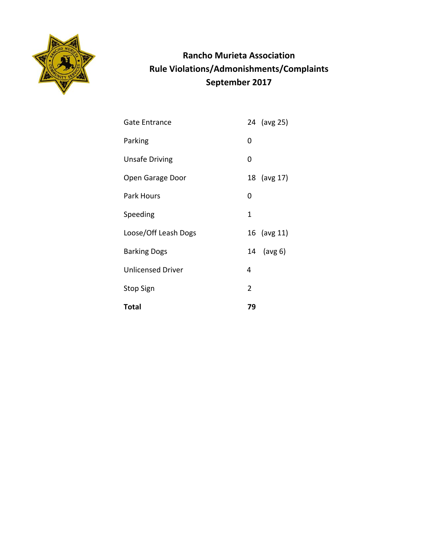

## **Rancho Murieta Association Rule Violations/Admonishments/Complaints September 2017**

| <b>Gate Entrance</b>     |   | 24 (avg 25) |
|--------------------------|---|-------------|
| Parking                  | 0 |             |
| <b>Unsafe Driving</b>    | 0 |             |
| Open Garage Door         |   | 18 (avg 17) |
| <b>Park Hours</b>        | 0 |             |
| Speeding                 | 1 |             |
| Loose/Off Leash Dogs     |   | 16 (avg 11) |
| <b>Barking Dogs</b>      |   | 14 (avg 6)  |
| <b>Unlicensed Driver</b> | 4 |             |
| <b>Stop Sign</b>         | 2 |             |
| Total                    |   |             |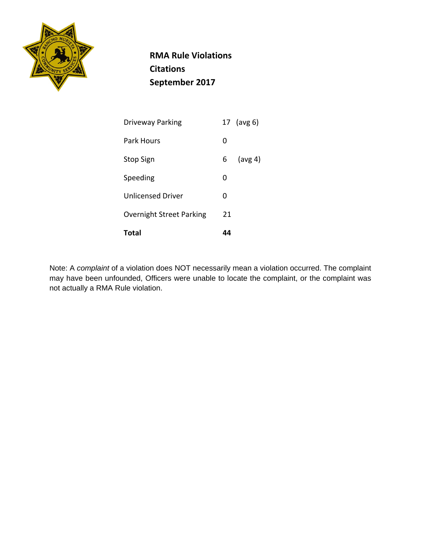

 **RMA Rule Violations Citations September 2017**

| Total                           |    |            |
|---------------------------------|----|------------|
| <b>Overnight Street Parking</b> | 21 |            |
| <b>Unlicensed Driver</b>        | O  |            |
| Speeding                        | O  |            |
| <b>Stop Sign</b>                | 6  | (avg 4)    |
| Park Hours                      | O  |            |
| Driveway Parking                |    | 17 (avg 6) |

Note: A *complaint* of a violation does NOT necessarily mean a violation occurred. The complaint may have been unfounded, Officers were unable to locate the complaint, or the complaint was not actually a RMA Rule violation.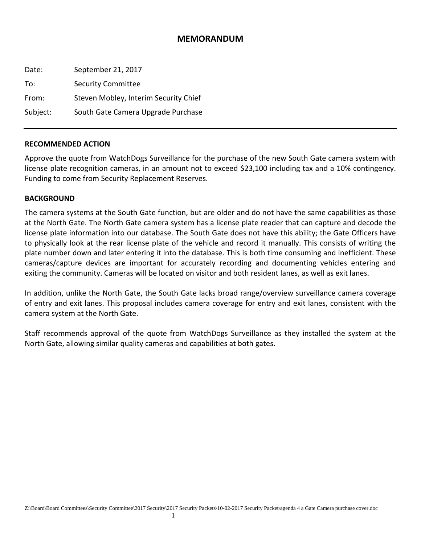#### **MEMORANDUM**

| Date:    | September 21, 2017                    |
|----------|---------------------------------------|
| To:      | <b>Security Committee</b>             |
| From:    | Steven Mobley, Interim Security Chief |
| Subject: | South Gate Camera Upgrade Purchase    |

#### **RECOMMENDED ACTION**

Approve the quote from WatchDogs Surveillance for the purchase of the new South Gate camera system with license plate recognition cameras, in an amount not to exceed \$23,100 including tax and a 10% contingency. Funding to come from Security Replacement Reserves.

#### **BACKGROUND**

The camera systems at the South Gate function, but are older and do not have the same capabilities as those at the North Gate. The North Gate camera system has a license plate reader that can capture and decode the license plate information into our database. The South Gate does not have this ability; the Gate Officers have to physically look at the rear license plate of the vehicle and record it manually. This consists of writing the plate number down and later entering it into the database. This is both time consuming and inefficient. These cameras/capture devices are important for accurately recording and documenting vehicles entering and exiting the community. Cameras will be located on visitor and both resident lanes, as well as exit lanes.

In addition, unlike the North Gate, the South Gate lacks broad range/overview surveillance camera coverage of entry and exit lanes. This proposal includes camera coverage for entry and exit lanes, consistent with the camera system at the North Gate.

Staff recommends approval of the quote from WatchDogs Surveillance as they installed the system at the North Gate, allowing similar quality cameras and capabilities at both gates.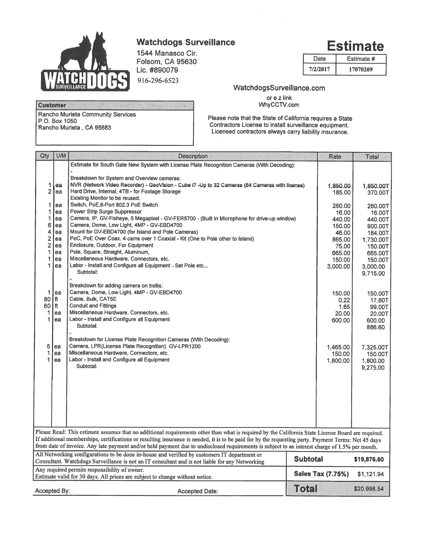

## **Watchdogs Surveillance**

1544 Manasco Cir. Folsom, CA 95630 Lic. #890079 916-296-6523

| Date     | Estimate # |
|----------|------------|
| 7/2/2017 | 17070209   |

#### **Customer** . Stephen Rancho Murieta Community Services P.O. Box 1050 Rancho Murieta, CA 95683

### WatchdogsSurveillance.com

or e z link<br>WhyCCTV.com

Please note that the State of California requires a State Contractors License to install surveillance equipment. Licensed contractors always carry liability insurance.

| Qty                                                                                                                                            | U/M  | <b>Description</b>                                                                                                                                   | Rate                     | Total       |
|------------------------------------------------------------------------------------------------------------------------------------------------|------|------------------------------------------------------------------------------------------------------------------------------------------------------|--------------------------|-------------|
|                                                                                                                                                |      | Estimate for South Gate New System with License Plate Recognition Cameras (With Decoding):                                                           |                          |             |
|                                                                                                                                                |      |                                                                                                                                                      |                          |             |
|                                                                                                                                                |      | Breakdown for System and Overview cameras:                                                                                                           |                          |             |
| 1                                                                                                                                              | ea   | NVR (Network Video Recorder) - GeoVision - Cube i7 -Up to 32 Cameras (64 Cameras with license)                                                       | 1.850.00                 | 1,850.00T   |
| $\overline{2}$                                                                                                                                 | ea   | Hard Drive, Internal, 4TB - for Footage Storage                                                                                                      | 185.00                   | 370.00T     |
|                                                                                                                                                |      | Existing Monitor to be reused.                                                                                                                       |                          |             |
| 1                                                                                                                                              | ea   | Switch, PoE, 8-Port 802.3 PoE Switch                                                                                                                 | 260.00                   | 260,00T     |
|                                                                                                                                                | ea   | Power Strip Surge Suppressor                                                                                                                         | 16.00                    | 16.00T      |
| 1                                                                                                                                              | ea   | Camera, IP, GV-Fisheye, 5 Megapixel - GV-FER5700 - (Built in Microphone for drive-up window)                                                         | 440.00                   | 440.00T     |
| 6                                                                                                                                              | ea   | Camera, Dome, Low Light, 4MP - GV-EBD4700                                                                                                            | 150.00                   | 900.00T     |
| 4                                                                                                                                              | ea   | Mount for GV-EBD4700 (for Island and Pole Cameras)                                                                                                   | 46.00                    | 184,00T     |
| $\overline{2}$                                                                                                                                 | ea   | PoC, PoE Over Coax. 4 cams over 1 Coaxial - Kit (One to Pole other to Island)                                                                        | 865.00                   | 1,730.00T   |
| 2                                                                                                                                              | ea   | Enclosure, Outdoor, For Equipment                                                                                                                    | 75.00                    | 150.00T     |
| 1                                                                                                                                              | ea   | Pole, Square, Straight, Aluminum,                                                                                                                    | 665,00                   | 665.00T     |
|                                                                                                                                                | ea   | Miscellaneous Hardware, Connectors, etc.                                                                                                             | 150.00                   | 150.00T     |
| 1                                                                                                                                              | ea   | Labor - Install and Configure all Equipment - Set Pole etc                                                                                           | 3,000.00                 | 3,000.00    |
|                                                                                                                                                |      | Subtotal:                                                                                                                                            |                          | 9,715.00    |
|                                                                                                                                                |      |                                                                                                                                                      |                          |             |
|                                                                                                                                                |      | Breakdown for adding camera on trellis:                                                                                                              |                          |             |
| 1                                                                                                                                              | ea   | Camera, Dome, Low Light, 4MP - GV-EBD4700                                                                                                            | 150.00                   | 150,00T     |
| 80                                                                                                                                             | l ft | Cable, Bulk, CAT5E                                                                                                                                   | 0.22                     | 17.60T      |
| 60 I ft                                                                                                                                        |      | <b>Conduit and Fittings</b>                                                                                                                          | 1.65                     | 99.00T      |
| 1                                                                                                                                              | ea   | Miscellaneous Hardware, Connectors, etc.                                                                                                             | 20.00                    | 20,00T      |
| 1                                                                                                                                              | ea   | Labor - Install and Configure all Equipment                                                                                                          | 600.00                   | 600.00      |
|                                                                                                                                                |      | Subtotal:                                                                                                                                            |                          | 886.60      |
|                                                                                                                                                |      |                                                                                                                                                      |                          |             |
|                                                                                                                                                |      | Breakdown for License Plate Recognition Cameras (With Decoding):                                                                                     |                          |             |
| 5<br>1                                                                                                                                         | ea   | Camera, LPR(License Plate Recognition) GV-LPR1200                                                                                                    | 1,465.00                 | 7,325.00T   |
| 1                                                                                                                                              | ea   | Miscellaneous Hardware, Connectors, etc.                                                                                                             | 150.00                   | 150,00T     |
|                                                                                                                                                | ea   | Labor - Install and Configure all Equipment<br>Subtotal:                                                                                             | 1,800.00                 | 1,800.00    |
|                                                                                                                                                |      |                                                                                                                                                      |                          | 9,275.00    |
|                                                                                                                                                |      |                                                                                                                                                      |                          |             |
|                                                                                                                                                |      |                                                                                                                                                      |                          |             |
|                                                                                                                                                |      |                                                                                                                                                      |                          |             |
|                                                                                                                                                |      |                                                                                                                                                      |                          |             |
|                                                                                                                                                |      |                                                                                                                                                      |                          |             |
|                                                                                                                                                |      |                                                                                                                                                      |                          |             |
|                                                                                                                                                |      |                                                                                                                                                      |                          |             |
|                                                                                                                                                |      |                                                                                                                                                      |                          |             |
|                                                                                                                                                |      | Please Read: This estimate assumes that no additional requirements other than what is required by the California State License Board are required.   |                          |             |
|                                                                                                                                                |      | If additional memberships, certifications or resulting insurance is needed, it is to be paid for by the requesting party. Payment Terms: Net 45 days |                          |             |
| from date of invoice. Any late payment and/or held payment due to undisclosed requirements is subject to an interest charge of 1.5% per month. |      |                                                                                                                                                      |                          |             |
|                                                                                                                                                |      | All Networking configurations to be done in-house and verified by customers IT department or                                                         |                          |             |
|                                                                                                                                                |      | <b>Subtotal</b><br>Consultant. Watchdogs Surveillance is not an IT consultant and is not liable for any Networking                                   |                          | \$19,876.60 |
|                                                                                                                                                |      | Any required permits responsibility of owner.                                                                                                        |                          |             |
|                                                                                                                                                |      | Estimate valid for 30 days. All prices are subject to change without notice.                                                                         | <b>Sales Tax (7.75%)</b> | \$1,121.94  |
|                                                                                                                                                |      |                                                                                                                                                      |                          |             |
| Accepted By:                                                                                                                                   |      | <b>Total</b><br><b>Accepted Date:</b>                                                                                                                |                          | \$20,998.54 |